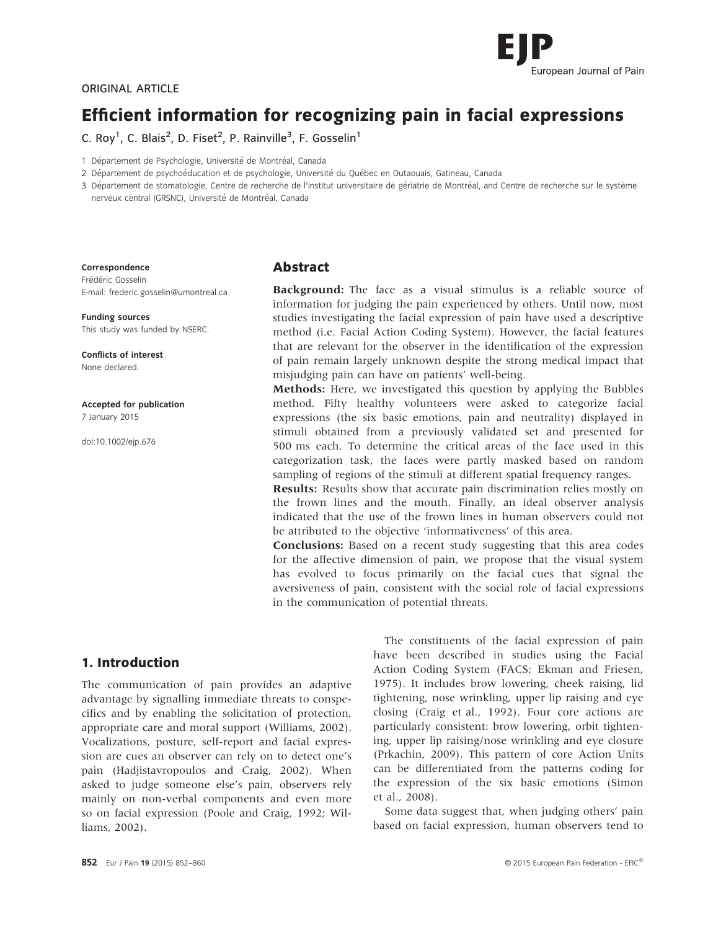

## ORIGINAL ARTICLE

# Efficient information for recognizing pain in facial expressions

C. Roy<sup>1</sup>, C. Blais<sup>2</sup>, D. Fiset<sup>2</sup>, P. Rainville<sup>3</sup>, F. Gosselin<sup>1</sup>

1 Département de Psychologie, Université de Montréal, Canada

2 Département de psychoéducation et de psychologie, Université du Québec en Outaouais, Gatineau, Canada

3 Département de stomatologie, Centre de recherche de l'institut universitaire de gériatrie de Montréal, and Centre de recherche sur le système nerveux central (GRSNC), Universit e de Montreal, Canada

#### Correspondence

Frédéric Gosselin E-mail: frederic.gosselin@umontreal.ca

Funding sources This study was funded by NSERC.

Conflicts of interest None declared.

Accepted for publication 7 January 2015

doi:10.1002/ejp.676

## **Abstract**

Background: The face as a visual stimulus is a reliable source of information for judging the pain experienced by others. Until now, most studies investigating the facial expression of pain have used a descriptive method (i.e. Facial Action Coding System). However, the facial features that are relevant for the observer in the identification of the expression of pain remain largely unknown despite the strong medical impact that misjudging pain can have on patients' well-being.

Methods: Here, we investigated this question by applying the Bubbles method. Fifty healthy volunteers were asked to categorize facial expressions (the six basic emotions, pain and neutrality) displayed in stimuli obtained from a previously validated set and presented for 500 ms each. To determine the critical areas of the face used in this categorization task, the faces were partly masked based on random sampling of regions of the stimuli at different spatial frequency ranges.

Results: Results show that accurate pain discrimination relies mostly on the frown lines and the mouth. Finally, an ideal observer analysis indicated that the use of the frown lines in human observers could not be attributed to the objective 'informativeness' of this area.

Conclusions: Based on a recent study suggesting that this area codes for the affective dimension of pain, we propose that the visual system has evolved to focus primarily on the facial cues that signal the aversiveness of pain, consistent with the social role of facial expressions in the communication of potential threats.

# 1. Introduction

The communication of pain provides an adaptive advantage by signalling immediate threats to conspecifics and by enabling the solicitation of protection, appropriate care and moral support (Williams, 2002). Vocalizations, posture, self-report and facial expression are cues an observer can rely on to detect one's pain (Hadjistavropoulos and Craig, 2002). When asked to judge someone else's pain, observers rely mainly on non-verbal components and even more so on facial expression (Poole and Craig, 1992; Williams, 2002).

The constituents of the facial expression of pain have been described in studies using the Facial Action Coding System (FACS; Ekman and Friesen, 1975). It includes brow lowering, cheek raising, lid tightening, nose wrinkling, upper lip raising and eye closing (Craig et al., 1992). Four core actions are particularly consistent: brow lowering, orbit tightening, upper lip raising/nose wrinkling and eye closure (Prkachin, 2009). This pattern of core Action Units can be differentiated from the patterns coding for the expression of the six basic emotions (Simon et al., 2008).

Some data suggest that, when judging others' pain based on facial expression, human observers tend to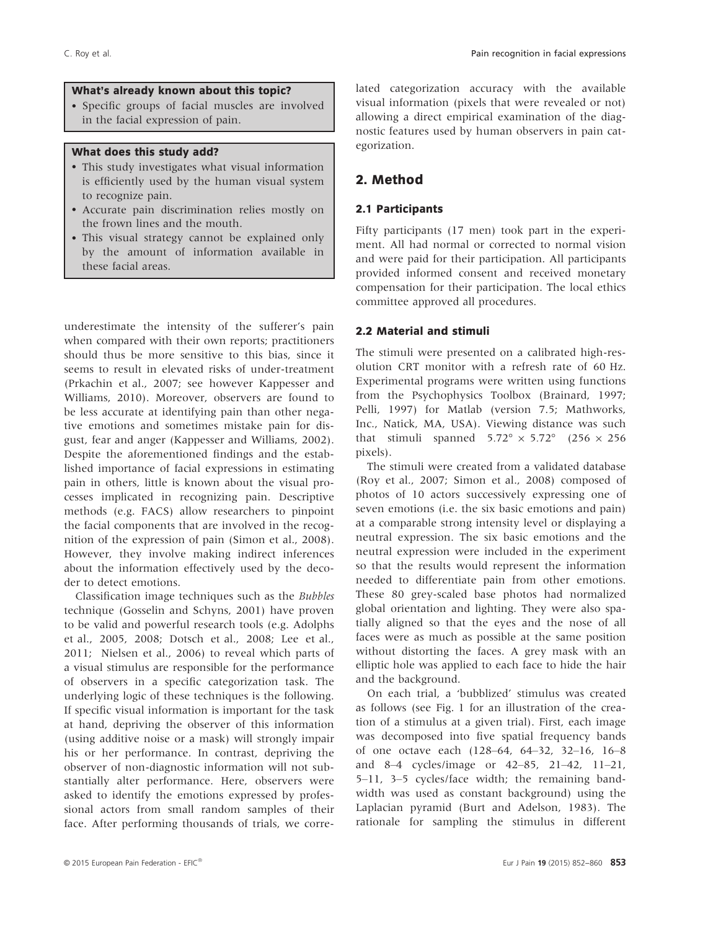## What's already known about this topic?

• Specific groups of facial muscles are involved in the facial expression of pain.

### What does this study add?

- This study investigates what visual information is efficiently used by the human visual system to recognize pain.
- Accurate pain discrimination relies mostly on the frown lines and the mouth.
- This visual strategy cannot be explained only by the amount of information available in these facial areas.

underestimate the intensity of the sufferer's pain when compared with their own reports; practitioners should thus be more sensitive to this bias, since it seems to result in elevated risks of under-treatment (Prkachin et al., 2007; see however Kappesser and Williams, 2010). Moreover, observers are found to be less accurate at identifying pain than other negative emotions and sometimes mistake pain for disgust, fear and anger (Kappesser and Williams, 2002). Despite the aforementioned findings and the established importance of facial expressions in estimating pain in others, little is known about the visual processes implicated in recognizing pain. Descriptive methods (e.g. FACS) allow researchers to pinpoint the facial components that are involved in the recognition of the expression of pain (Simon et al., 2008). However, they involve making indirect inferences about the information effectively used by the decoder to detect emotions.

Classification image techniques such as the Bubbles technique (Gosselin and Schyns, 2001) have proven to be valid and powerful research tools (e.g. Adolphs et al., 2005, 2008; Dotsch et al., 2008; Lee et al., 2011; Nielsen et al., 2006) to reveal which parts of a visual stimulus are responsible for the performance of observers in a specific categorization task. The underlying logic of these techniques is the following. If specific visual information is important for the task at hand, depriving the observer of this information (using additive noise or a mask) will strongly impair his or her performance. In contrast, depriving the observer of non-diagnostic information will not substantially alter performance. Here, observers were asked to identify the emotions expressed by professional actors from small random samples of their face. After performing thousands of trials, we correlated categorization accuracy with the available visual information (pixels that were revealed or not) allowing a direct empirical examination of the diagnostic features used by human observers in pain categorization.

# 2. Method

# 2.1 Participants

Fifty participants (17 men) took part in the experiment. All had normal or corrected to normal vision and were paid for their participation. All participants provided informed consent and received monetary compensation for their participation. The local ethics committee approved all procedures.

# 2.2 Material and stimuli

The stimuli were presented on a calibrated high-resolution CRT monitor with a refresh rate of 60 Hz. Experimental programs were written using functions from the Psychophysics Toolbox (Brainard, 1997; Pelli, 1997) for Matlab (version 7.5; Mathworks, Inc., Natick, MA, USA). Viewing distance was such that stimuli spanned  $5.72^{\circ} \times 5.72^{\circ}$  (256  $\times$  256 pixels).

The stimuli were created from a validated database (Roy et al., 2007; Simon et al., 2008) composed of photos of 10 actors successively expressing one of seven emotions (i.e. the six basic emotions and pain) at a comparable strong intensity level or displaying a neutral expression. The six basic emotions and the neutral expression were included in the experiment so that the results would represent the information needed to differentiate pain from other emotions. These 80 grey-scaled base photos had normalized global orientation and lighting. They were also spatially aligned so that the eyes and the nose of all faces were as much as possible at the same position without distorting the faces. A grey mask with an elliptic hole was applied to each face to hide the hair and the background.

On each trial, a 'bubblized' stimulus was created as follows (see Fig. 1 for an illustration of the creation of a stimulus at a given trial). First, each image was decomposed into five spatial frequency bands of one octave each (128–64, 64–32, 32–16, 16–8 and 8–4 cycles/image or 42–85, 21–42, 11–21, 5–11, 3–5 cycles/face width; the remaining bandwidth was used as constant background) using the Laplacian pyramid (Burt and Adelson, 1983). The rationale for sampling the stimulus in different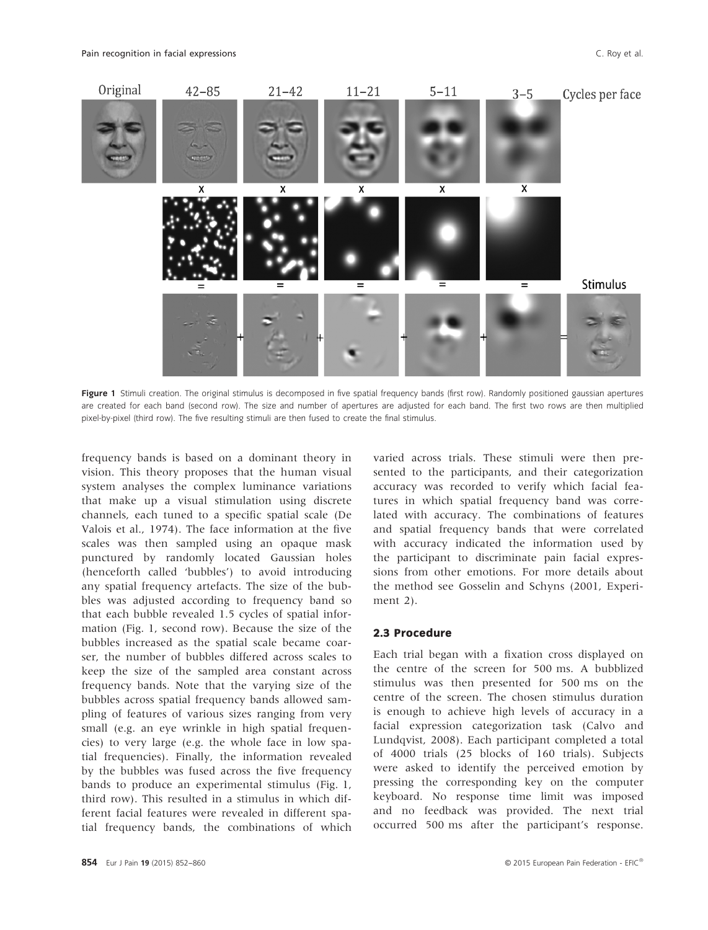

Figure 1 Stimuli creation. The original stimulus is decomposed in five spatial frequency bands (first row). Randomly positioned gaussian apertures are created for each band (second row). The size and number of apertures are adjusted for each band. The first two rows are then multiplied pixel-by-pixel (third row). The five resulting stimuli are then fused to create the final stimulus.

frequency bands is based on a dominant theory in vision. This theory proposes that the human visual system analyses the complex luminance variations that make up a visual stimulation using discrete channels, each tuned to a specific spatial scale (De Valois et al., 1974). The face information at the five scales was then sampled using an opaque mask punctured by randomly located Gaussian holes (henceforth called 'bubbles') to avoid introducing any spatial frequency artefacts. The size of the bubbles was adjusted according to frequency band so that each bubble revealed 1.5 cycles of spatial information (Fig. 1, second row). Because the size of the bubbles increased as the spatial scale became coarser, the number of bubbles differed across scales to keep the size of the sampled area constant across frequency bands. Note that the varying size of the bubbles across spatial frequency bands allowed sampling of features of various sizes ranging from very small (e.g. an eye wrinkle in high spatial frequencies) to very large (e.g. the whole face in low spatial frequencies). Finally, the information revealed by the bubbles was fused across the five frequency bands to produce an experimental stimulus (Fig. 1, third row). This resulted in a stimulus in which different facial features were revealed in different spatial frequency bands, the combinations of which

varied across trials. These stimuli were then presented to the participants, and their categorization accuracy was recorded to verify which facial features in which spatial frequency band was correlated with accuracy. The combinations of features and spatial frequency bands that were correlated with accuracy indicated the information used by the participant to discriminate pain facial expressions from other emotions. For more details about the method see Gosselin and Schyns (2001, Experiment 2).

### 2.3 Procedure

Each trial began with a fixation cross displayed on the centre of the screen for 500 ms. A bubblized stimulus was then presented for 500 ms on the centre of the screen. The chosen stimulus duration is enough to achieve high levels of accuracy in a facial expression categorization task (Calvo and Lundqvist, 2008). Each participant completed a total of 4000 trials (25 blocks of 160 trials). Subjects were asked to identify the perceived emotion by pressing the corresponding key on the computer keyboard. No response time limit was imposed and no feedback was provided. The next trial occurred 500 ms after the participant's response.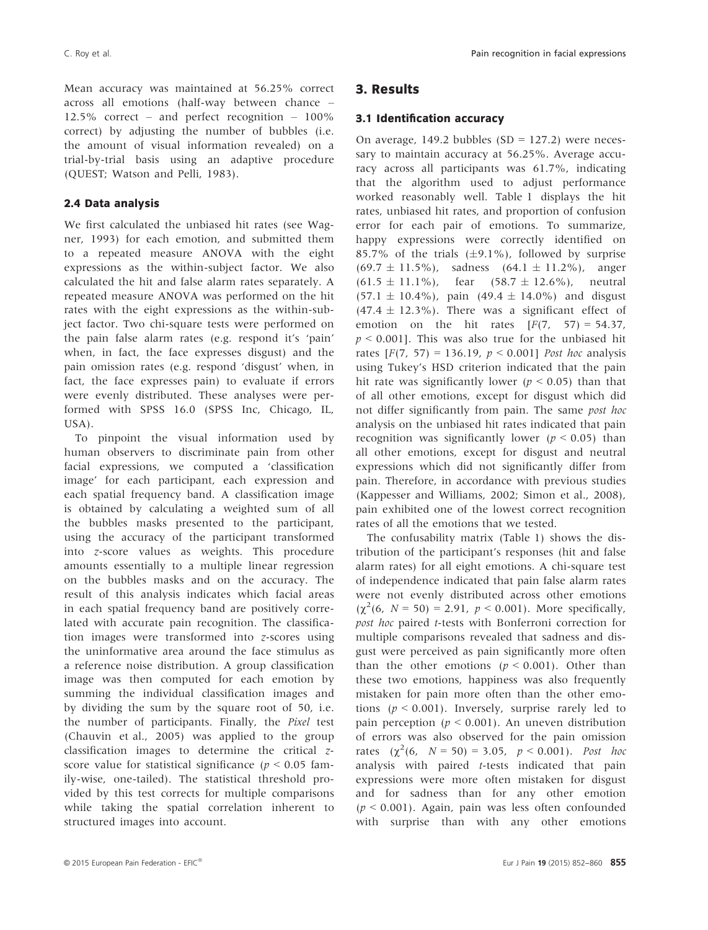Mean accuracy was maintained at 56.25% correct across all emotions (half-way between chance – 12.5% correct – and perfect recognition – 100% correct) by adjusting the number of bubbles (i.e. the amount of visual information revealed) on a trial-by-trial basis using an adaptive procedure (QUEST; Watson and Pelli, 1983).

# 2.4 Data analysis

We first calculated the unbiased hit rates (see Wagner, 1993) for each emotion, and submitted them to a repeated measure ANOVA with the eight expressions as the within-subject factor. We also calculated the hit and false alarm rates separately. A repeated measure ANOVA was performed on the hit rates with the eight expressions as the within-subject factor. Two chi-square tests were performed on the pain false alarm rates (e.g. respond it's 'pain' when, in fact, the face expresses disgust) and the pain omission rates (e.g. respond 'disgust' when, in fact, the face expresses pain) to evaluate if errors were evenly distributed. These analyses were performed with SPSS 16.0 (SPSS Inc, Chicago, IL, USA).

To pinpoint the visual information used by human observers to discriminate pain from other facial expressions, we computed a 'classification image' for each participant, each expression and each spatial frequency band. A classification image is obtained by calculating a weighted sum of all the bubbles masks presented to the participant, using the accuracy of the participant transformed into z-score values as weights. This procedure amounts essentially to a multiple linear regression on the bubbles masks and on the accuracy. The result of this analysis indicates which facial areas in each spatial frequency band are positively correlated with accurate pain recognition. The classification images were transformed into z-scores using the uninformative area around the face stimulus as a reference noise distribution. A group classification image was then computed for each emotion by summing the individual classification images and by dividing the sum by the square root of 50, i.e. the number of participants. Finally, the Pixel test (Chauvin et al., 2005) was applied to the group classification images to determine the critical zscore value for statistical significance ( $p < 0.05$  family-wise, one-tailed). The statistical threshold provided by this test corrects for multiple comparisons while taking the spatial correlation inherent to structured images into account.

# 3. Results

# 3.1 Identification accuracy

On average, 149.2 bubbles  $(SD = 127.2)$  were necessary to maintain accuracy at 56.25%. Average accuracy across all participants was 61.7%, indicating that the algorithm used to adjust performance worked reasonably well. Table 1 displays the hit rates, unbiased hit rates, and proportion of confusion error for each pair of emotions. To summarize, happy expressions were correctly identified on 85.7% of the trials  $(\pm 9.1\%)$ , followed by surprise  $(69.7 \pm 11.5\%)$ , sadness  $(64.1 \pm 11.2\%)$ , anger<br> $(61.5 \pm 11.1\%)$ , fear  $(58.7 \pm 12.6\%)$ , neutral  $(58.7 \pm 12.6\%)$ , neutral  $(57.1 \pm 10.4\%)$ , pain  $(49.4 \pm 14.0\%)$  and disgust  $(47.4 \pm 12.3\%)$ . There was a significant effect of emotion on the hit rates  $[F(7, 57) = 54.37]$ ,  $p < 0.001$ ]. This was also true for the unbiased hit rates  $[F(7, 57) = 136.19, p < 0.001]$  *Post hoc* analysis using Tukey's HSD criterion indicated that the pain hit rate was significantly lower ( $p < 0.05$ ) than that of all other emotions, except for disgust which did not differ significantly from pain. The same post hoc analysis on the unbiased hit rates indicated that pain recognition was significantly lower ( $p < 0.05$ ) than all other emotions, except for disgust and neutral expressions which did not significantly differ from pain. Therefore, in accordance with previous studies (Kappesser and Williams, 2002; Simon et al., 2008), pain exhibited one of the lowest correct recognition rates of all the emotions that we tested.

The confusability matrix (Table 1) shows the distribution of the participant's responses (hit and false alarm rates) for all eight emotions. A chi-square test of independence indicated that pain false alarm rates were not evenly distributed across other emotions  $(\chi^2(6, N = 50) = 2.91, p < 0.001)$ . More specifically, post hoc paired t-tests with Bonferroni correction for multiple comparisons revealed that sadness and disgust were perceived as pain significantly more often than the other emotions ( $p < 0.001$ ). Other than these two emotions, happiness was also frequently mistaken for pain more often than the other emotions ( $p < 0.001$ ). Inversely, surprise rarely led to pain perception ( $p \le 0.001$ ). An uneven distribution of errors was also observed for the pain omission rates  $(\chi^2(6, N = 50) = 3.05, p < 0.001)$ . Post hoc analysis with paired t-tests indicated that pain expressions were more often mistaken for disgust and for sadness than for any other emotion  $(p < 0.001)$ . Again, pain was less often confounded with surprise than with any other emotions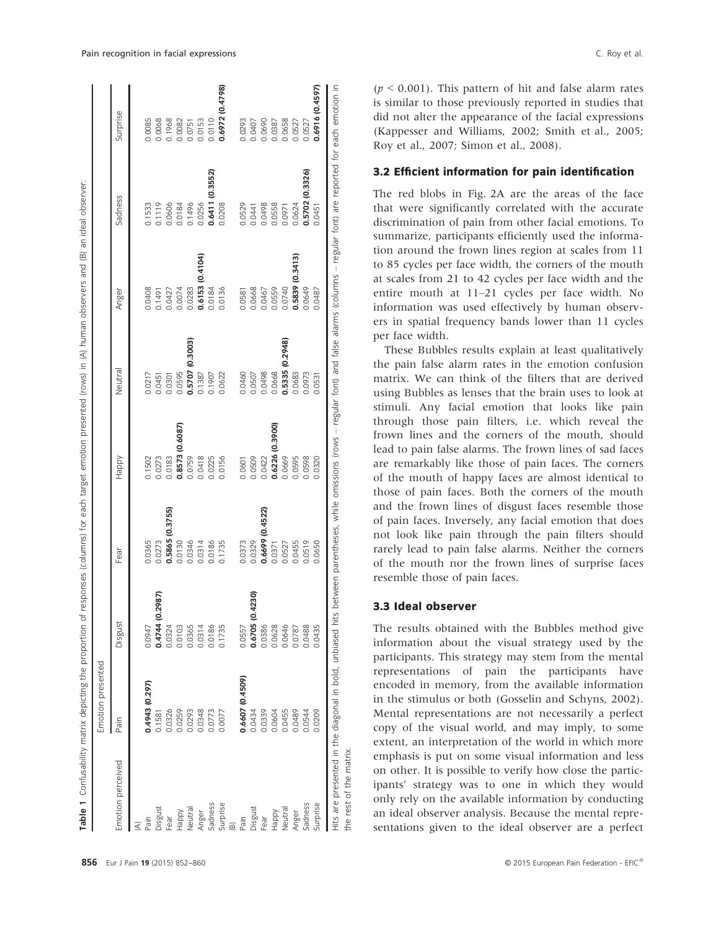|                        | Emotion presented |                            |                 |                 |                 |                 |                 |                 |
|------------------------|-------------------|----------------------------|-----------------|-----------------|-----------------|-----------------|-----------------|-----------------|
| Emotion perceived      | Pain              | Disgust                    | Fear            | Happy           | Neutral         | Anger           | Sadness         | Surprise        |
|                        |                   |                            |                 |                 |                 |                 |                 |                 |
| Pain                   | 0.4943 (0.297)    | 0.0947                     | 0.0365          | 0.1502          | 0.0217          | 0.0408          | 0.1533          | 0.0085          |
| Disgust                | 0.1581            | .2987)<br>s<br>0.4744      | 0.0273          | 0.0273          | 0.0451          | 0.1491          | 0.1119          | 0.0068          |
| Fear                   | 0.0326            | 0.0324                     | 0.5865 (0.3755) | 0.0183          | 0.0301          | 0.0427          | 0.0606          | 0.1968          |
| Happy                  | 0.0259            | 0.0103                     | 0.0130          | 0.8573 (0.6087) | 0.0595          | 0.0074          | 0.0184          | 0.0082          |
| Neutral                | 0.0293            | 0.0365                     | 0.0346          | 0.0759          | 0.5707 (0.3003) | 0.0283          | 0.1496          | 0.0751          |
| Anger                  | 0.0348            | 0.0314                     | 0.0314          | 0.0418          | 0.1387          | 0.6153 (0.4104) | 0.0256          | 0.0153          |
| Sadness                | 0.0773            | 0.0186                     | 0.0186          | 0.0225          | 0.1907          | 0.0184          | 0.6411 (0.3552) | 0.0110          |
| Surprise               | 0.0077            | 0.1735                     | 0.1735          | 0.0156          | 0.0622          | 0.0136          | 0.0208          | 0.6972 (0.4798) |
| $\widehat{\mathbf{e}}$ |                   |                            |                 |                 |                 |                 |                 |                 |
| Pain                   | 0.6607 (0.4509)   | 0.0557                     | 0.0373          | 0.0601          | 0.0460          | 0.0581          | 0.0529          | 0.0293          |
| Disgust                | 0.0434            | (0.52, 4.4)<br>s<br>0.6705 | 0.0329          | 0.0509          | 0.0507          | 0.0668          | 0.0441          | 0.0407          |
| Fear                   | 0.0339            | 0.0386                     | 0.6699 (0.4522) | 0.0422          | 0.0498          | 0.0467          | 0.0498          | 0.0690          |
| Happy                  | 0.0604            | 0.0628                     | 0.0371          | 0.6226 (0.3900) | 0.0668          | 0.0559          | 0.0558          | 0.0387          |
| Neutral                | 0.0455            | 0.0646                     | 0.0527          | 0.0669          | 0.5335 (0.2948) | 0.0740          | 0.0971          | 0.0658          |
| Anger                  | 0.0489            | 0.0787                     | 0.0455          | 0.0595          | 0.0683          | 0.5839 (0.3413) | 0.0624          | 0.0527          |
| Sadness                | 0.0544            | 0.0488                     | 0.0519          | 0.0598          | 0.0973          | 0.0649          | 0.5702 (0.3326) | 0.0527          |
| Surprise               | 0.0209            | 0.0435                     | 0.0650          | 0.0320          | 0.0531          | 0.0487          | 0.0451          | 0.6916 (0.4597) |

 $(p < 0.001)$ . This pattern of hit and false alarm rates is similar to those previously reported in studies that did not alter the appearance of the facial expressions (Kappesser and Williams, 2002; Smith et al., 2005; Roy et al., 2007; Simon et al., 2008).

### 3.2 Efficient information for pain identification

The red blobs in Fig. 2A are the areas of the face that were significantly correlated with the accurate discrimination of pain from other facial emotions. To summarize, participants efficiently used the information around the frown lines region at scales from 11 to 85 cycles per face width, the corners of the mouth at scales from 21 to 42 cycles per face width and the entire mouth at 11–21 cycles per face width. No information was used effectively by human observers in spatial frequency bands lower than 11 cycles per face width.

These Bubbles results explain at least qualitatively the pain false alarm rates in the emotion confusion matrix. We can think of the filters that are derived using Bubbles as lenses that the brain uses to look at stimuli. Any facial emotion that looks like pain through those pain filters, i.e. which reveal the frown lines and the corners of the mouth, should lead to pain false alarms. The frown lines of sad faces are remarkably like those of pain faces. The corners of the mouth of happy faces are almost identical to those of pain faces. Both the corners of the mouth and the frown lines of disgust faces resemble those of pain faces. Inversely, any facial emotion that does not look like pain through the pain filters should rarely lead to pain false alarms. Neither the corners of the mouth nor the frown lines of surprise faces resemble those of pain faces.

### 3.3 Ideal observer

The results obtained with the Bubbles method give information about the visual strategy used by the participants. This strategy may stem from the mental representations of pain the participants have encoded in memory, from the available information in the stimulus or both (Gosselin and Schyns, 2002). Mental representations are not necessarily a perfect copy of the visual world, and may imply, to some extent, an interpretation of the world in which more emphasis is put on some visual information and less on other. It is possible to verify how close the participants' strategy was to one in which they would only rely on the available information by conducting an ideal observer analysis. Because the mental representations given to the ideal observer are a perfect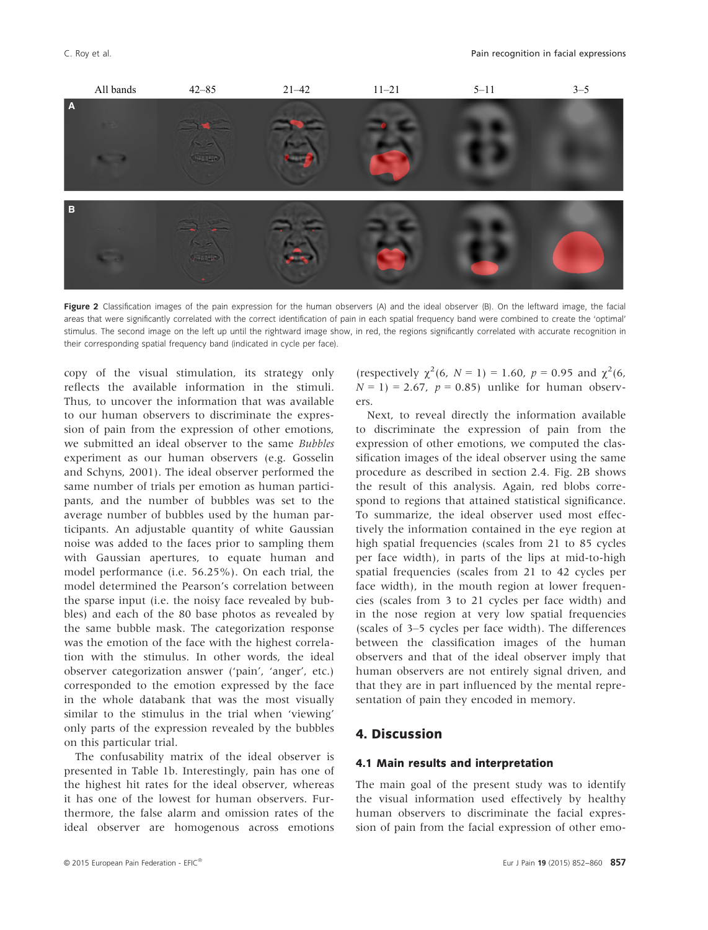

Figure 2 Classification images of the pain expression for the human observers (A) and the ideal observer (B). On the leftward image, the facial areas that were significantly correlated with the correct identification of pain in each spatial frequency band were combined to create the 'optimal' stimulus. The second image on the left up until the rightward image show, in red, the regions significantly correlated with accurate recognition in their corresponding spatial frequency band (indicated in cycle per face).

copy of the visual stimulation, its strategy only reflects the available information in the stimuli. Thus, to uncover the information that was available to our human observers to discriminate the expression of pain from the expression of other emotions, we submitted an ideal observer to the same Bubbles experiment as our human observers (e.g. Gosselin and Schyns, 2001). The ideal observer performed the same number of trials per emotion as human participants, and the number of bubbles was set to the average number of bubbles used by the human participants. An adjustable quantity of white Gaussian noise was added to the faces prior to sampling them with Gaussian apertures, to equate human and model performance (i.e. 56.25%). On each trial, the model determined the Pearson's correlation between the sparse input (i.e. the noisy face revealed by bubbles) and each of the 80 base photos as revealed by the same bubble mask. The categorization response was the emotion of the face with the highest correlation with the stimulus. In other words, the ideal observer categorization answer ('pain', 'anger', etc.) corresponded to the emotion expressed by the face in the whole databank that was the most visually similar to the stimulus in the trial when 'viewing' only parts of the expression revealed by the bubbles on this particular trial.

The confusability matrix of the ideal observer is presented in Table 1b. Interestingly, pain has one of the highest hit rates for the ideal observer, whereas it has one of the lowest for human observers. Furthermore, the false alarm and omission rates of the ideal observer are homogenous across emotions

(respectively  $\chi^2(6, N = 1) = 1.60$ ,  $p = 0.95$  and  $\chi^2(6, N = 1)$  $N = 1$ ) = 2.67,  $p = 0.85$ ) unlike for human observers.

Next, to reveal directly the information available to discriminate the expression of pain from the expression of other emotions, we computed the classification images of the ideal observer using the same procedure as described in section 2.4. Fig. 2B shows the result of this analysis. Again, red blobs correspond to regions that attained statistical significance. To summarize, the ideal observer used most effectively the information contained in the eye region at high spatial frequencies (scales from 21 to 85 cycles per face width), in parts of the lips at mid-to-high spatial frequencies (scales from 21 to 42 cycles per face width), in the mouth region at lower frequencies (scales from 3 to 21 cycles per face width) and in the nose region at very low spatial frequencies (scales of 3–5 cycles per face width). The differences between the classification images of the human observers and that of the ideal observer imply that human observers are not entirely signal driven, and that they are in part influenced by the mental representation of pain they encoded in memory.

# 4. Discussion

# 4.1 Main results and interpretation

The main goal of the present study was to identify the visual information used effectively by healthy human observers to discriminate the facial expression of pain from the facial expression of other emo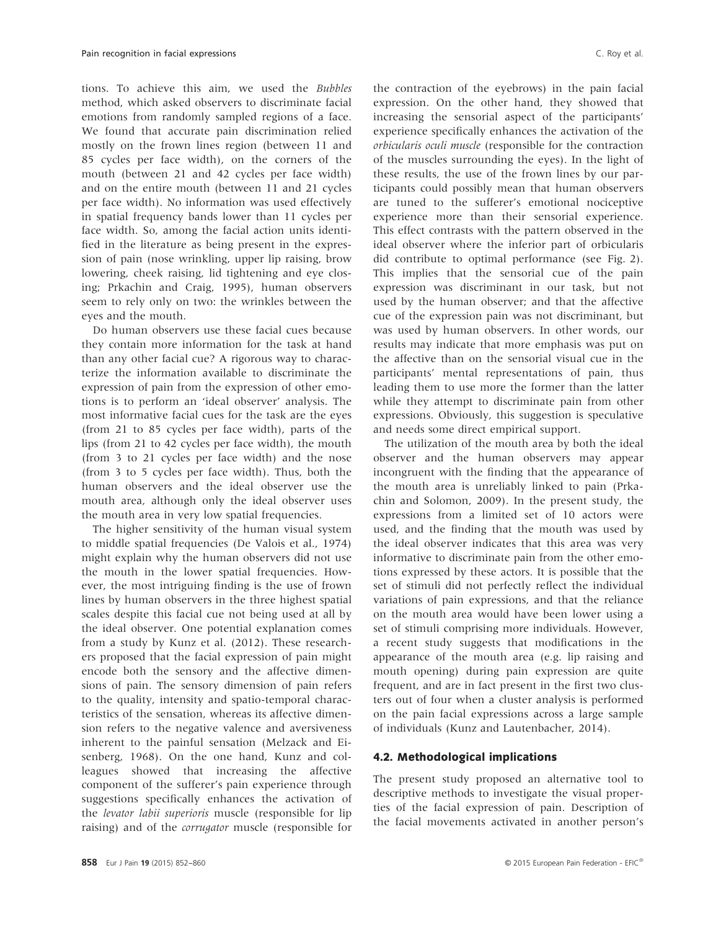tions. To achieve this aim, we used the Bubbles method, which asked observers to discriminate facial emotions from randomly sampled regions of a face. We found that accurate pain discrimination relied mostly on the frown lines region (between 11 and 85 cycles per face width), on the corners of the mouth (between 21 and 42 cycles per face width) and on the entire mouth (between 11 and 21 cycles per face width). No information was used effectively in spatial frequency bands lower than 11 cycles per face width. So, among the facial action units identified in the literature as being present in the expression of pain (nose wrinkling, upper lip raising, brow lowering, cheek raising, lid tightening and eye closing; Prkachin and Craig, 1995), human observers seem to rely only on two: the wrinkles between the eyes and the mouth.

Do human observers use these facial cues because they contain more information for the task at hand than any other facial cue? A rigorous way to characterize the information available to discriminate the expression of pain from the expression of other emotions is to perform an 'ideal observer' analysis. The most informative facial cues for the task are the eyes (from 21 to 85 cycles per face width), parts of the lips (from 21 to 42 cycles per face width), the mouth (from 3 to 21 cycles per face width) and the nose (from 3 to 5 cycles per face width). Thus, both the human observers and the ideal observer use the mouth area, although only the ideal observer uses the mouth area in very low spatial frequencies.

The higher sensitivity of the human visual system to middle spatial frequencies (De Valois et al., 1974) might explain why the human observers did not use the mouth in the lower spatial frequencies. However, the most intriguing finding is the use of frown lines by human observers in the three highest spatial scales despite this facial cue not being used at all by the ideal observer. One potential explanation comes from a study by Kunz et al. (2012). These researchers proposed that the facial expression of pain might encode both the sensory and the affective dimensions of pain. The sensory dimension of pain refers to the quality, intensity and spatio-temporal characteristics of the sensation, whereas its affective dimension refers to the negative valence and aversiveness inherent to the painful sensation (Melzack and Eisenberg, 1968). On the one hand, Kunz and colleagues showed that increasing the affective component of the sufferer's pain experience through suggestions specifically enhances the activation of the levator labii superioris muscle (responsible for lip raising) and of the corrugator muscle (responsible for the contraction of the eyebrows) in the pain facial expression. On the other hand, they showed that increasing the sensorial aspect of the participants' experience specifically enhances the activation of the orbicularis oculi muscle (responsible for the contraction of the muscles surrounding the eyes). In the light of these results, the use of the frown lines by our participants could possibly mean that human observers are tuned to the sufferer's emotional nociceptive experience more than their sensorial experience. This effect contrasts with the pattern observed in the ideal observer where the inferior part of orbicularis did contribute to optimal performance (see Fig. 2). This implies that the sensorial cue of the pain expression was discriminant in our task, but not used by the human observer; and that the affective cue of the expression pain was not discriminant, but was used by human observers. In other words, our results may indicate that more emphasis was put on the affective than on the sensorial visual cue in the participants' mental representations of pain, thus leading them to use more the former than the latter while they attempt to discriminate pain from other expressions. Obviously, this suggestion is speculative and needs some direct empirical support.

The utilization of the mouth area by both the ideal observer and the human observers may appear incongruent with the finding that the appearance of the mouth area is unreliably linked to pain (Prkachin and Solomon, 2009). In the present study, the expressions from a limited set of 10 actors were used, and the finding that the mouth was used by the ideal observer indicates that this area was very informative to discriminate pain from the other emotions expressed by these actors. It is possible that the set of stimuli did not perfectly reflect the individual variations of pain expressions, and that the reliance on the mouth area would have been lower using a set of stimuli comprising more individuals. However, a recent study suggests that modifications in the appearance of the mouth area (e.g. lip raising and mouth opening) during pain expression are quite frequent, and are in fact present in the first two clusters out of four when a cluster analysis is performed on the pain facial expressions across a large sample of individuals (Kunz and Lautenbacher, 2014).

## 4.2. Methodological implications

The present study proposed an alternative tool to descriptive methods to investigate the visual properties of the facial expression of pain. Description of the facial movements activated in another person's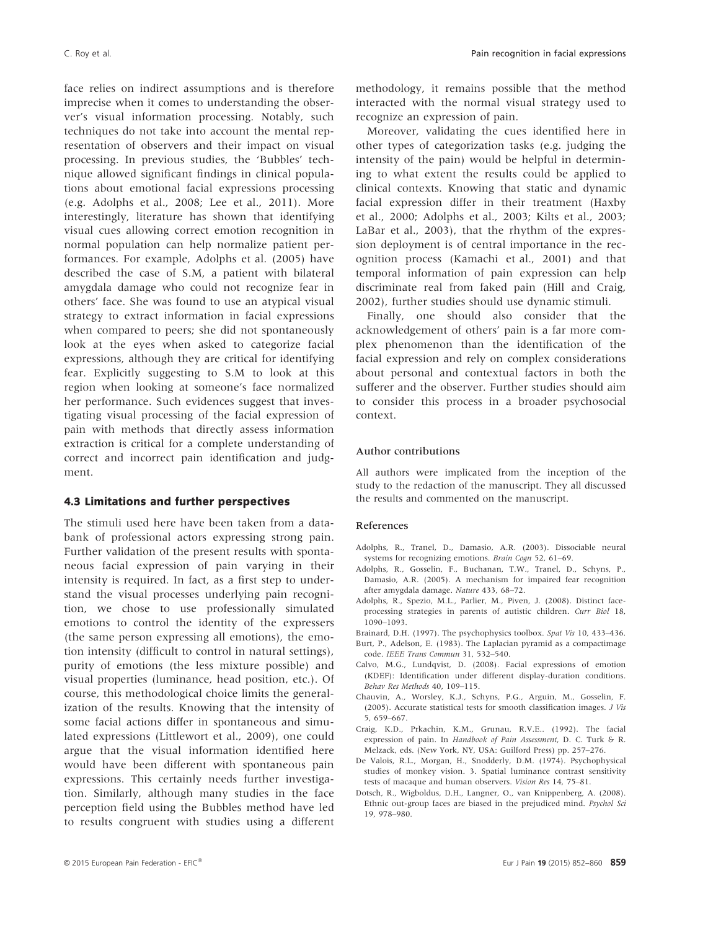face relies on indirect assumptions and is therefore imprecise when it comes to understanding the observer's visual information processing. Notably, such techniques do not take into account the mental representation of observers and their impact on visual processing. In previous studies, the 'Bubbles' technique allowed significant findings in clinical populations about emotional facial expressions processing (e.g. Adolphs et al., 2008; Lee et al., 2011). More interestingly, literature has shown that identifying visual cues allowing correct emotion recognition in normal population can help normalize patient performances. For example, Adolphs et al. (2005) have described the case of S.M, a patient with bilateral amygdala damage who could not recognize fear in others' face. She was found to use an atypical visual strategy to extract information in facial expressions when compared to peers; she did not spontaneously look at the eyes when asked to categorize facial expressions, although they are critical for identifying fear. Explicitly suggesting to S.M to look at this region when looking at someone's face normalized her performance. Such evidences suggest that investigating visual processing of the facial expression of pain with methods that directly assess information extraction is critical for a complete understanding of correct and incorrect pain identification and judgment.

### 4.3 Limitations and further perspectives

The stimuli used here have been taken from a databank of professional actors expressing strong pain. Further validation of the present results with spontaneous facial expression of pain varying in their intensity is required. In fact, as a first step to understand the visual processes underlying pain recognition, we chose to use professionally simulated emotions to control the identity of the expressers (the same person expressing all emotions), the emotion intensity (difficult to control in natural settings), purity of emotions (the less mixture possible) and visual properties (luminance, head position, etc.). Of course, this methodological choice limits the generalization of the results. Knowing that the intensity of some facial actions differ in spontaneous and simulated expressions (Littlewort et al., 2009), one could argue that the visual information identified here would have been different with spontaneous pain expressions. This certainly needs further investigation. Similarly, although many studies in the face perception field using the Bubbles method have led to results congruent with studies using a different methodology, it remains possible that the method interacted with the normal visual strategy used to recognize an expression of pain.

Moreover, validating the cues identified here in other types of categorization tasks (e.g. judging the intensity of the pain) would be helpful in determining to what extent the results could be applied to clinical contexts. Knowing that static and dynamic facial expression differ in their treatment (Haxby et al., 2000; Adolphs et al., 2003; Kilts et al., 2003; LaBar et al., 2003), that the rhythm of the expression deployment is of central importance in the recognition process (Kamachi et al., 2001) and that temporal information of pain expression can help discriminate real from faked pain (Hill and Craig, 2002), further studies should use dynamic stimuli.

Finally, one should also consider that the acknowledgement of others' pain is a far more complex phenomenon than the identification of the facial expression and rely on complex considerations about personal and contextual factors in both the sufferer and the observer. Further studies should aim to consider this process in a broader psychosocial context.

#### Author contributions

All authors were implicated from the inception of the study to the redaction of the manuscript. They all discussed the results and commented on the manuscript.

#### References

- Adolphs, R., Tranel, D., Damasio, A.R. (2003). Dissociable neural systems for recognizing emotions. Brain Cogn 52, 61–69.
- Adolphs, R., Gosselin, F., Buchanan, T.W., Tranel, D., Schyns, P., Damasio, A.R. (2005). A mechanism for impaired fear recognition after amygdala damage. Nature 433, 68–72.
- Adolphs, R., Spezio, M.L., Parlier, M., Piven, J. (2008). Distinct faceprocessing strategies in parents of autistic children. Curr Biol 18, 1090–1093.
- Brainard, D.H. (1997). The psychophysics toolbox. Spat Vis 10, 433–436.
- Burt, P., Adelson, E. (1983). The Laplacian pyramid as a compactimage code. IEEE Trans Commun 31, 532–540.
- Calvo, M.G., Lundqvist, D. (2008). Facial expressions of emotion (KDEF): Identification under different display-duration conditions. Behav Res Methods 40, 109–115.
- Chauvin, A., Worsley, K.J., Schyns, P.G., Arguin, M., Gosselin, F. (2005). Accurate statistical tests for smooth classification images. J Vis 5, 659–667.
- Craig, K.D., Prkachin, K.M., Grunau, R.V.E.. (1992). The facial expression of pain. In Handbook of Pain Assessment, D. C. Turk & R. Melzack, eds. (New York, NY, USA: Guilford Press) pp. 257–276.
- De Valois, R.L., Morgan, H., Snodderly, D.M. (1974). Psychophysical studies of monkey vision. 3. Spatial luminance contrast sensitivity tests of macaque and human observers. Vision Res 14, 75–81.
- Dotsch, R., Wigboldus, D.H., Langner, O., van Knippenberg, A. (2008). Ethnic out-group faces are biased in the prejudiced mind. Psychol Sci 19, 978–980.